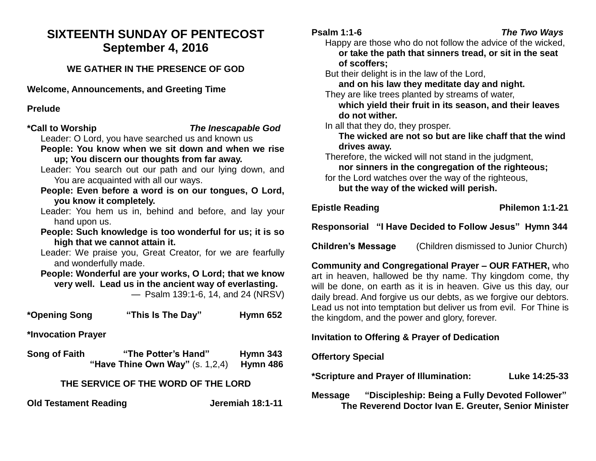# **SIXTEENTH SUNDAY OF PENTECOST September 4, 2016**

## **WE GATHER IN THE PRESENCE OF GOD**

**Welcome, Announcements, and Greeting Time** 

#### **Prelude**

**\*Call to Worship** *The Inescapable God*

Leader: O Lord, you have searched us and known us

- **People: You know when we sit down and when we rise up; You discern our thoughts from far away.**
- Leader: You search out our path and our lying down, and You are acquainted with all our ways.
- **People: Even before a word is on our tongues, O Lord, you know it completely.**
- Leader: You hem us in, behind and before, and lay your hand upon us.
- **People: Such knowledge is too wonderful for us; it is so high that we cannot attain it.**

Leader: We praise you, Great Creator, for we are fearfully and wonderfully made.

**People: Wonderful are your works, O Lord; that we know very well. Lead us in the ancient way of everlasting.**  — Psalm 139:1-6, 14, and 24 (NRSV)

**\*Opening Song "This Is The Day" Hymn 652**

**\*Invocation Prayer** 

**Song of Faith "The Potter's Hand" Hymn 343 "Have Thine Own Way"** (s. 1,2,4) **Hymn 486**

## **THE SERVICE OF THE WORD OF THE LORD**

**Old Testament Reading Server Server Server Server Server Server Server Server Server Server Server Server Server Server Server Server Server Server Server Server Server Server Server Server Server Server Server Server Ser** 

Happy are those who do not follow the advice of the wicked, **or take the path that sinners tread, or sit in the seat of scoffers;**

But their delight is in the law of the Lord,

**and on his law they meditate day and night.**

They are like trees planted by streams of water,

**which yield their fruit in its season, and their leaves do not wither.**

In all that they do, they prosper.

**The wicked are not so but are like chaff that the wind drives away.**

Therefore, the wicked will not stand in the judgment,

**nor sinners in the congregation of the righteous;** for the Lord watches over the way of the righteous,

**but the way of the wicked will perish.**

**Epistle Reading Community Community Philemon 1:1-21** 

**Responsorial "I Have Decided to Follow Jesus" Hymn 344**

**Children's Message** (Children dismissed to Junior Church)

**Community and Congregational Prayer – OUR FATHER,** who art in heaven, hallowed be thy name. Thy kingdom come, thy will be done, on earth as it is in heaven. Give us this day, our daily bread. And forgive us our debts, as we forgive our debtors. Lead us not into temptation but deliver us from evil. For Thine is the kingdom, and the power and glory, forever.

## **Invitation to Offering & Prayer of Dedication**

#### **Offertory Special**

**\*Scripture and Prayer of Illumination: Luke 14:25-33**

**Message "Discipleship: Being a Fully Devoted Follower" The Reverend Doctor Ivan E. Greuter, Senior Minister**

## **Psalm 1:1-6** *The Two Ways*